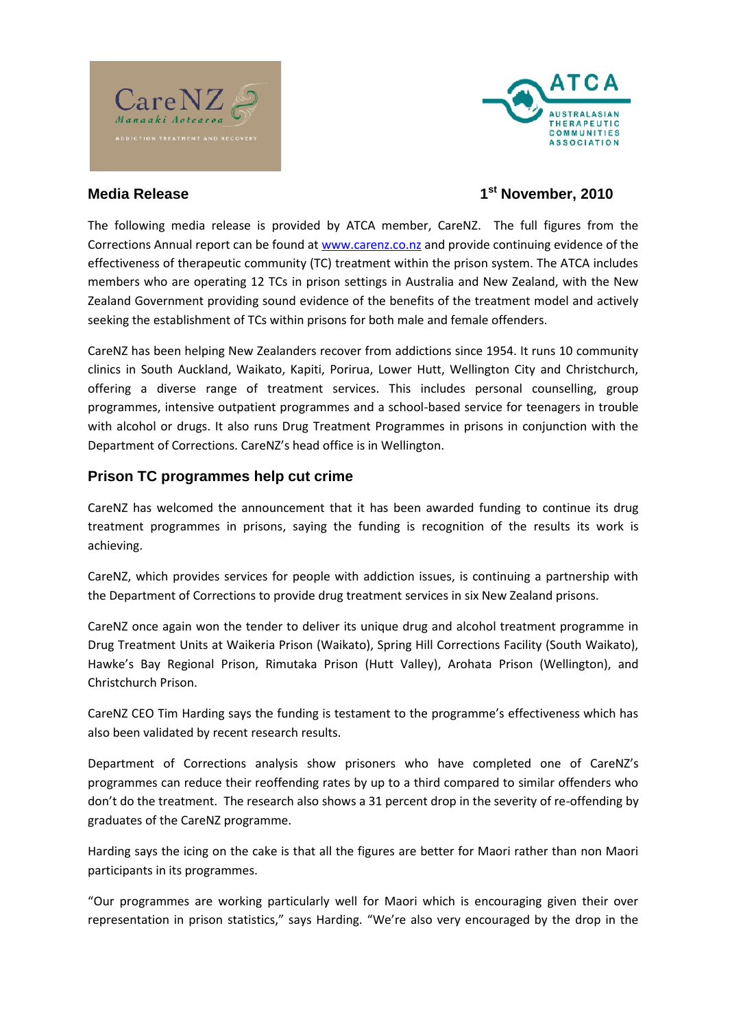## Media Release 1

## 1<sup>st</sup> November, 2010

The following media release is provided by ATCA member, Care Corrections Annual report www.co.nz and particular and provide inuing evidence of t effectiveness of therapeutic community (TC) treatment within the members who are operating 12 TCs in prison settings in Australia Zealand Government providiedning south the enefits of the treatment model and actively and active model and active seeking the establishment of TCs within prisons for both male and

CareNZ has been helping New Zealanders recover from addictions clinics in South Auckland, Waikato, Kapiti, Porirua, Lower Hutt, offering a diverse range of treatment services. This includes programmes, intensive outpatient p-boagsreeachmi**scheers o**f can**sighe or solin** trou with alcohol or drugs. It also runs Drug Treatment Programmes in Department of Corrections. CareNZ s head office is in Wellington.

Prison TC programmes help cut crime

CareNZ has welcomed the announcement fut midit hag to constitute ents warn upe treatment programmes sanythogisfounnsding is recogneistivolints of worthke is achieving.

CareNZ, which provides services for people with addiction issues the Department of Corrections to provide drug treatment services

CareNZ once again won the tender to deliver its unique drug and Drug Treatment Units at Waikeria Prison (Waikato), Spring Hill Co Hawke s Bay Regional Prison, Rimyu)t, akA aro Phaits aon Pr (iksiont (Walle ington Christchurch Prison.

CareNZ CEO Tim Harding says the funding is testament to the pro also been validated by recent research results.

Department of Corrections analysishas rheo weopmpist outer sonwehoof Care programmes can reduce their reoffending rates by up to a third com don t do the treatment. The research also shows anf34 npdeingeboly drop graduates of threo  $C$  craame. No  $\mathbb Z$  p

Harding says the icing on the cake is that all the figures are bett participants in its programmes.

Our programmes are working particularly well for Maori which is representapiros ao in statistics, says Harding. We re also very encouraged by the drop in the drop in the drop